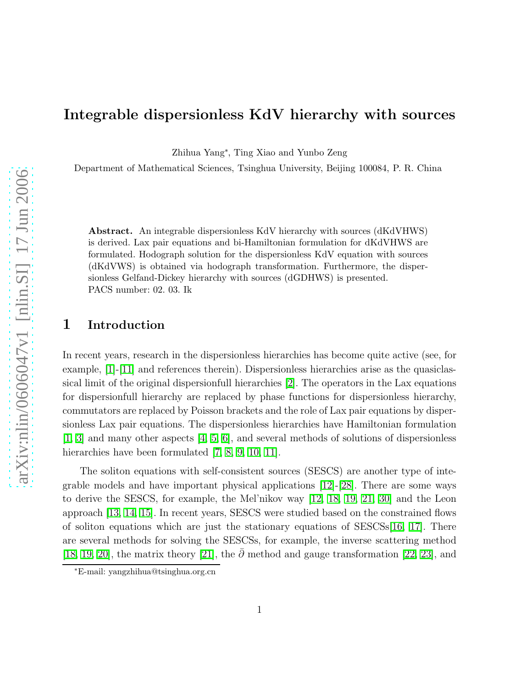### Integrable dispersionless KdV hierarchy with sources

Zhihua Yang<sup>∗</sup> , Ting Xiao and Yunbo Zeng

Department of Mathematical Sciences, Tsinghua University, Beijing 100084, P. R. China

Abstract. An integrable dispersionless KdV hierarchy with sources (dKdVHWS) is derived. Lax pair equations and bi-Hamiltonian formulation for dKdVHWS are formulated. Hodograph solution for the dispersionless KdV equation with sources (dKdVWS) is obtained via hodograph transformation. Furthermore, the dispersionless Gelfand-Dickey hierarchy with sources (dGDHWS) is presented. PACS number: 02. 03. Ik

#### 1 Introduction

In recent years, research in the dispersionless hierarchies has become quite active (see, for example, [\[1\]](#page-13-0)-[\[11\]](#page-14-0) and references therein). Dispersionless hierarchies arise as the quasiclassical limit of the original dispersionfull hierarchies [\[2\]](#page-13-1). The operators in the Lax equations for dispersionfull hierarchy are replaced by phase functions for dispersionless hierarchy, commutators are replaced by Poisson brackets and the role of Lax pair equations by dispersionless Lax pair equations. The dispersionless hierarchies have Hamiltonian formulation [\[1,](#page-13-0) [3\]](#page-13-2) and many other aspects [\[4,](#page-13-3) [5,](#page-13-4) [6\]](#page-13-5), and several methods of solutions of dispersionless hierarchies have been formulated [\[7,](#page-13-6) [8,](#page-13-7) [9,](#page-14-1) [10,](#page-14-2) [11\]](#page-14-0).

The soliton equations with self-consistent sources (SESCS) are another type of integrable models and have important physical applications [\[12\]](#page-14-3)-[\[28\]](#page-14-4). There are some ways to derive the SESCS, for example, the Mel'nikov way [\[12,](#page-14-3) [18,](#page-14-5) [19,](#page-14-6) [21,](#page-14-7) [30\]](#page-14-8) and the Leon approach [\[13,](#page-14-9) [14,](#page-14-10) [15\]](#page-14-11). In recent years, SESCS were studied based on the constrained flows of soliton equations which are just the stationary equations of SESCSs[\[16,](#page-14-12) [17\]](#page-14-13). There are several methods for solving the SESCSs, for example, the inverse scattering method [\[18,](#page-14-5) [19,](#page-14-6) [20\]](#page-14-14), the matrix theory [\[21\]](#page-14-7), the  $\bar{\partial}$  method and gauge transformation [\[22,](#page-14-15) [23\]](#page-14-16), and

<sup>∗</sup>E-mail: yangzhihua@tsinghua.org.cn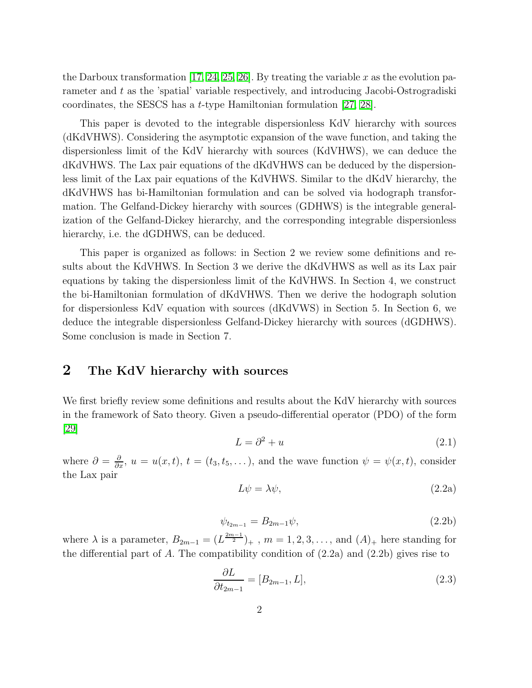the Darboux transformation [\[17,](#page-14-13) [24,](#page-14-17) [25,](#page-14-18) [26\]](#page-14-19). By treating the variable x as the evolution parameter and t as the 'spatial' variable respectively, and introducing Jacobi-Ostrogradiski coordinates, the SESCS has a t-type Hamiltonian formulation [\[27,](#page-14-20) [28\]](#page-14-4).

This paper is devoted to the integrable dispersionless KdV hierarchy with sources (dKdVHWS). Considering the asymptotic expansion of the wave function, and taking the dispersionless limit of the KdV hierarchy with sources (KdVHWS), we can deduce the dKdVHWS. The Lax pair equations of the dKdVHWS can be deduced by the dispersionless limit of the Lax pair equations of the KdVHWS. Similar to the dKdV hierarchy, the dKdVHWS has bi-Hamiltonian formulation and can be solved via hodograph transformation. The Gelfand-Dickey hierarchy with sources (GDHWS) is the integrable generalization of the Gelfand-Dickey hierarchy, and the corresponding integrable dispersionless hierarchy, i.e. the dGDHWS, can be deduced.

This paper is organized as follows: in Section 2 we review some definitions and results about the KdVHWS. In Section 3 we derive the dKdVHWS as well as its Lax pair equations by taking the dispersionless limit of the KdVHWS. In Section 4, we construct the bi-Hamiltonian formulation of dKdVHWS. Then we derive the hodograph solution for dispersionless KdV equation with sources (dKdVWS) in Section 5. In Section 6, we deduce the integrable dispersionless Gelfand-Dickey hierarchy with sources (dGDHWS). Some conclusion is made in Section 7.

#### 2 The KdV hierarchy with sources

We first briefly review some definitions and results about the KdV hierarchy with sources in the framework of Sato theory. Given a pseudo-differential operator (PDO) of the form [\[29\]](#page-14-21)

$$
L = \partial^2 + u \tag{2.1}
$$

where  $\partial = \frac{\partial}{\partial x}$ ,  $u = u(x, t)$ ,  $t = (t_3, t_5, \dots)$ , and the wave function  $\psi = \psi(x, t)$ , consider the Lax pair

$$
L\psi = \lambda\psi,\tag{2.2a}
$$

$$
\psi_{t_{2m-1}} = B_{2m-1}\psi,\tag{2.2b}
$$

where  $\lambda$  is a parameter,  $B_{2m-1} = (L^{\frac{2m-1}{2}})_+$ ,  $m = 1, 2, 3, \ldots$ , and  $(A)_+$  here standing for the differential part of A. The compatibility condition of  $(2.2a)$  and  $(2.2b)$  gives rise to

$$
\frac{\partial L}{\partial t_{2m-1}} = [B_{2m-1}, L],\tag{2.3}
$$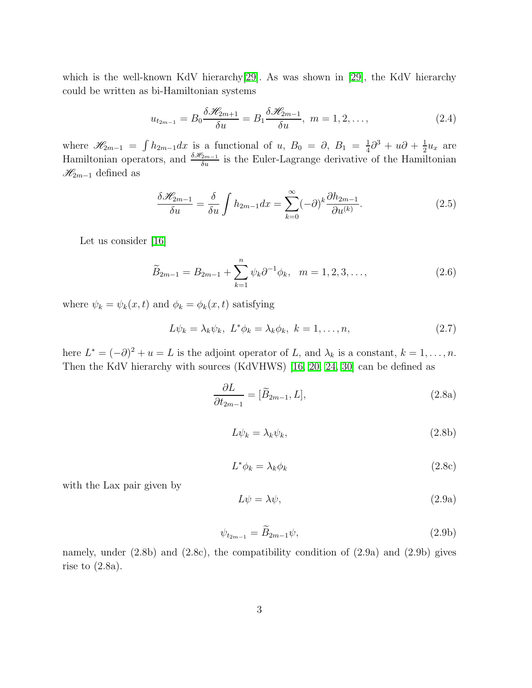which is the well-known KdV hierarchy<sup>[\[29\]](#page-14-21)</sup>. As was shown in [\[29\]](#page-14-21), the KdV hierarchy could be written as bi-Hamiltonian systems

$$
u_{t_{2m-1}} = B_0 \frac{\delta \mathcal{H}_{2m+1}}{\delta u} = B_1 \frac{\delta \mathcal{H}_{2m-1}}{\delta u}, \ m = 1, 2, \dots,
$$
 (2.4)

where  $\mathscr{H}_{2m-1} = \int h_{2m-1}dx$  is a functional of u,  $B_0 = \partial, B_1 = \frac{1}{4}$  $\frac{1}{4}\partial^3 + u\partial + \frac{1}{2}$  $rac{1}{2}u_x$  are Hamiltonian operators, and  $\frac{\delta \mathcal{H}_{2m-1}}{\delta u}$  is the Euler-Lagrange derivative of the Hamiltonian  $\mathcal{H}_{2m-1}$  defined as

$$
\frac{\delta \mathcal{H}_{2m-1}}{\delta u} = \frac{\delta}{\delta u} \int h_{2m-1} dx = \sum_{k=0}^{\infty} (-\partial)^k \frac{\partial h_{2m-1}}{\partial u^{(k)}}.
$$
 (2.5)

Let us consider [\[16\]](#page-14-12)

$$
\widetilde{B}_{2m-1} = B_{2m-1} + \sum_{k=1}^{n} \psi_k \partial^{-1} \phi_k, \quad m = 1, 2, 3, \dots,
$$
\n(2.6)

where  $\psi_k = \psi_k(x, t)$  and  $\phi_k = \phi_k(x, t)$  satisfying

$$
L\psi_k = \lambda_k \psi_k, \ L^* \phi_k = \lambda_k \phi_k, \ k = 1, \dots, n,
$$
\n(2.7)

here  $L^* = (-\partial)^2 + u = L$  is the adjoint operator of L, and  $\lambda_k$  is a constant,  $k = 1, ..., n$ . Then the KdV hierarchy with sources (KdVHWS) [\[16,](#page-14-12) [20,](#page-14-14) [24,](#page-14-17) [30\]](#page-14-8) can be defined as

$$
\frac{\partial L}{\partial t_{2m-1}} = [\widetilde{B}_{2m-1}, L],\tag{2.8a}
$$

$$
L\psi_k = \lambda_k \psi_k,\tag{2.8b}
$$

$$
L^*\phi_k = \lambda_k \phi_k \tag{2.8c}
$$

with the Lax pair given by

$$
L\psi = \lambda\psi,\tag{2.9a}
$$

$$
\psi_{t_{2m-1}} = \widetilde{B}_{2m-1}\psi,\tag{2.9b}
$$

namely, under (2.8b) and (2.8c), the compatibility condition of (2.9a) and (2.9b) gives rise to  $(2.8a)$ .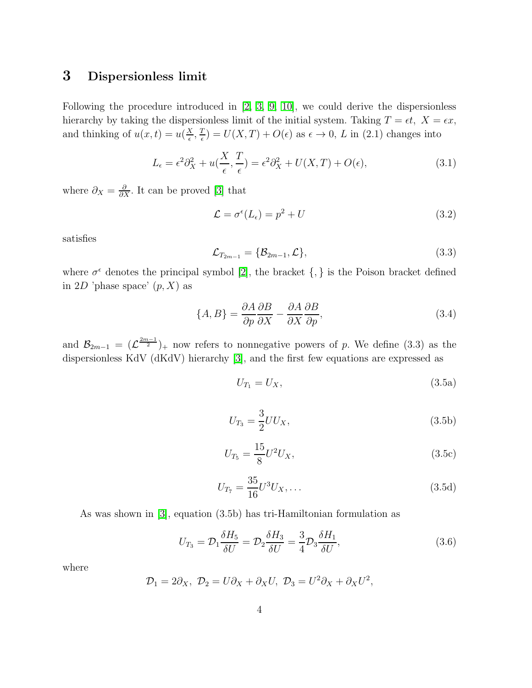#### 3 Dispersionless limit

Following the procedure introduced in [\[2,](#page-13-1) [3,](#page-13-2) [9,](#page-14-1) [10\]](#page-14-2), we could derive the dispersionless hierarchy by taking the dispersionless limit of the initial system. Taking  $T = \epsilon t$ ,  $X = \epsilon x$ , and thinking of  $u(x,t) = u\left(\frac{X}{\epsilon}\right)$  $\frac{X}{\epsilon}, \frac{T}{\epsilon}$  $\frac{T}{\epsilon}$ ) =  $U(X,T) + O(\epsilon)$  as  $\epsilon \to 0$ , L in (2.1) changes into

$$
L_{\epsilon} = \epsilon^2 \partial_X^2 + u(\frac{X}{\epsilon}, \frac{T}{\epsilon}) = \epsilon^2 \partial_X^2 + U(X, T) + O(\epsilon), \tag{3.1}
$$

where  $\partial_X = \frac{\partial}{\partial X}$ . It can be proved [\[3\]](#page-13-2) that

$$
\mathcal{L} = \sigma^{\epsilon}(L_{\epsilon}) = p^2 + U \tag{3.2}
$$

satisfies

$$
\mathcal{L}_{T_{2m-1}} = \{\mathcal{B}_{2m-1}, \mathcal{L}\},\tag{3.3}
$$

where  $\sigma^{\epsilon}$  denotes the principal symbol [\[2\]](#page-13-1), the bracket {, } is the Poison bracket defined in 2D 'phase space'  $(p, X)$  as

$$
\{A, B\} = \frac{\partial A}{\partial p} \frac{\partial B}{\partial X} - \frac{\partial A}{\partial X} \frac{\partial B}{\partial p},\tag{3.4}
$$

and  $\mathcal{B}_{2m-1} = (\mathcal{L}^{\frac{2m-1}{2}})_+$  now refers to nonnegative powers of p. We define (3.3) as the dispersionless KdV (dKdV) hierarchy [\[3\]](#page-13-2), and the first few equations are expressed as

$$
U_{T_1} = U_X,\tag{3.5a}
$$

$$
U_{T_3} = \frac{3}{2} U U_X, \tag{3.5b}
$$

$$
U_{T_5} = \frac{15}{8} U^2 U_X, \tag{3.5c}
$$

$$
U_{T_7} = \frac{35}{16} U^3 U_X, \dots \tag{3.5d}
$$

As was shown in [\[3\]](#page-13-2), equation (3.5b) has tri-Hamiltonian formulation as

$$
U_{T_3} = \mathcal{D}_1 \frac{\delta H_5}{\delta U} = \mathcal{D}_2 \frac{\delta H_3}{\delta U} = \frac{3}{4} \mathcal{D}_3 \frac{\delta H_1}{\delta U},\tag{3.6}
$$

where

$$
\mathcal{D}_1 = 2\partial_X, \ \mathcal{D}_2 = U\partial_X + \partial_X U, \ \mathcal{D}_3 = U^2 \partial_X + \partial_X U^2,
$$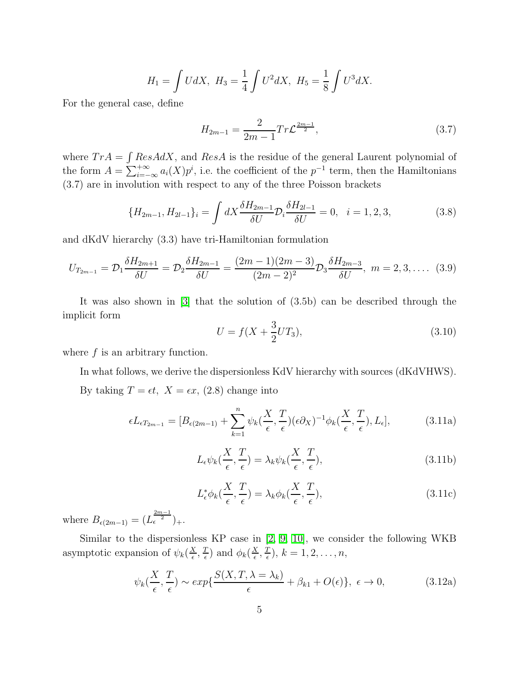$$
H_1 = \int U dX, \ H_3 = \frac{1}{4} \int U^2 dX, \ H_5 = \frac{1}{8} \int U^3 dX.
$$

For the general case, define

$$
H_{2m-1} = \frac{2}{2m-1} Tr \mathcal{L}^{\frac{2m-1}{2}},\tag{3.7}
$$

where  $Tr A = \int ResAdX$ , and  $Res\overline{A}$  is the residue of the general Laurent polynomial of the form  $A = \sum_{i=-\infty}^{+\infty} a_i(X) p^i$ , i.e. the coefficient of the  $p^{-1}$  term, then the Hamiltonians (3.7) are in involution with respect to any of the three Poisson brackets

$$
\{H_{2m-1}, H_{2l-1}\}_i = \int dX \frac{\delta H_{2m-1}}{\delta U} \mathcal{D}_i \frac{\delta H_{2l-1}}{\delta U} = 0, \quad i = 1, 2, 3,
$$
\n(3.8)

and dKdV hierarchy (3.3) have tri-Hamiltonian formulation

$$
U_{T_{2m-1}} = \mathcal{D}_1 \frac{\delta H_{2m+1}}{\delta U} = \mathcal{D}_2 \frac{\delta H_{2m-1}}{\delta U} = \frac{(2m-1)(2m-3)}{(2m-2)^2} \mathcal{D}_3 \frac{\delta H_{2m-3}}{\delta U}, \ m = 2, 3, .... \tag{3.9}
$$

It was also shown in [\[3\]](#page-13-2) that the solution of (3.5b) can be described through the implicit form

$$
U = f(X + \frac{3}{2}UT_3),\tag{3.10}
$$

where  $f$  is an arbitrary function.

In what follows, we derive the dispersionless KdV hierarchy with sources (dKdVHWS). By taking  $T = \epsilon t$ ,  $X = \epsilon x$ , (2.8) change into

$$
\epsilon L_{\epsilon T_{2m-1}} = [B_{\epsilon(2m-1)} + \sum_{k=1}^{n} \psi_k(\frac{X}{\epsilon}, \frac{T}{\epsilon})(\epsilon \partial_X)^{-1} \phi_k(\frac{X}{\epsilon}, \frac{T}{\epsilon}), L_{\epsilon}],
$$
(3.11a)

$$
L_{\epsilon}\psi_k(\frac{X}{\epsilon}, \frac{T}{\epsilon}) = \lambda_k \psi_k(\frac{X}{\epsilon}, \frac{T}{\epsilon}),
$$
\n(3.11b)

$$
L_{\epsilon}^* \phi_k(\frac{X}{\epsilon}, \frac{T}{\epsilon}) = \lambda_k \phi_k(\frac{X}{\epsilon}, \frac{T}{\epsilon}), \qquad (3.11c)
$$

where  $B_{\epsilon(2m-1)} = (L_{\epsilon}^{\frac{2m-1}{2}})_{+}.$ 

Similar to the dispersionless KP case in [\[2,](#page-13-1) [9,](#page-14-1) [10\]](#page-14-2), we consider the following WKB asymptotic expansion of  $\psi_k(\frac{X}{\epsilon})$  $\frac{X}{\epsilon}, \frac{T}{\epsilon}$  $\frac{T}{\epsilon}$ ) and  $\phi_k(\frac{X}{\epsilon})$  $\frac{X}{\epsilon}, \frac{T}{\epsilon}$  $\frac{T}{\epsilon}$ ),  $k = 1, 2, \ldots, n$ ,

$$
\psi_k(\frac{X}{\epsilon}, \frac{T}{\epsilon}) \sim exp\{\frac{S(X, T, \lambda = \lambda_k)}{\epsilon} + \beta_{k1} + O(\epsilon)\}, \ \epsilon \to 0,
$$
\n(3.12a)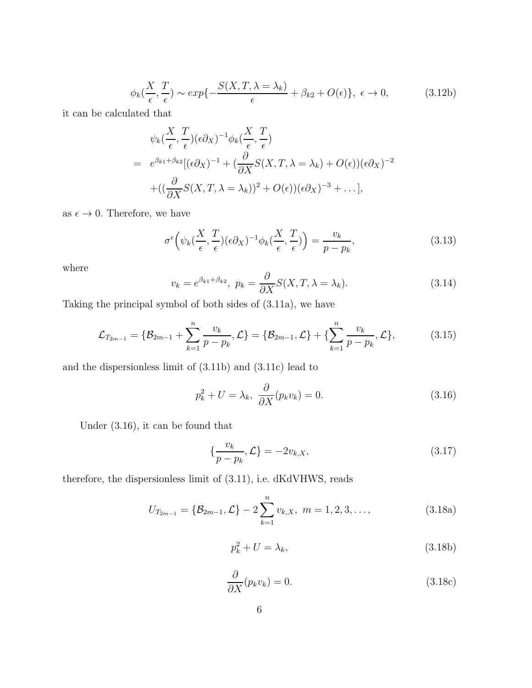$$
\phi_k(\frac{X}{\epsilon}, \frac{T}{\epsilon}) \sim exp\{-\frac{S(X, T, \lambda = \lambda_k)}{\epsilon} + \beta_{k2} + O(\epsilon)\}, \ \epsilon \to 0,\tag{3.12b}
$$

it can be calculated that

$$
\psi_k(\frac{X}{\epsilon}, \frac{T}{\epsilon})(\epsilon \partial_X)^{-1} \phi_k(\frac{X}{\epsilon}, \frac{T}{\epsilon})
$$
\n
$$
= e^{\beta_{k1} + \beta_{k2}} [(\epsilon \partial_X)^{-1} + (\frac{\partial}{\partial X} S(X, T, \lambda = \lambda_k) + O(\epsilon)) (\epsilon \partial_X)^{-2}
$$
\n
$$
+ ((\frac{\partial}{\partial X} S(X, T, \lambda = \lambda_k))^2 + O(\epsilon)) (\epsilon \partial_X)^{-3} + \dots],
$$

as  $\epsilon \to 0$ . Therefore, we have

$$
\sigma^{\epsilon}\Big(\psi_k(\frac{X}{\epsilon}, \frac{T}{\epsilon})(\epsilon \partial_X)^{-1}\phi_k(\frac{X}{\epsilon}, \frac{T}{\epsilon})\Big) = \frac{v_k}{p - p_k},\tag{3.13}
$$

where

$$
v_k = e^{\beta_{k1} + \beta_{k2}}, \ p_k = \frac{\partial}{\partial X} S(X, T, \lambda = \lambda_k). \tag{3.14}
$$

Taking the principal symbol of both sides of (3.11a), we have

$$
\mathcal{L}_{T_{2m-1}} = \{ \mathcal{B}_{2m-1} + \sum_{k=1}^{n} \frac{v_k}{p - p_k}, \mathcal{L} \} = \{ \mathcal{B}_{2m-1}, \mathcal{L} \} + \{ \sum_{k=1}^{n} \frac{v_k}{p - p_k}, \mathcal{L} \},
$$
(3.15)

and the dispersionless limit of (3.11b) and (3.11c) lead to

$$
p_k^2 + U = \lambda_k, \ \frac{\partial}{\partial X}(p_k v_k) = 0.
$$
\n(3.16)

Under (3.16), it can be found that

$$
\{\frac{v_k}{p - p_k}, \mathcal{L}\} = -2v_{k,X},\tag{3.17}
$$

therefore, the dispersionless limit of (3.11), i.e. dKdVHWS, reads

$$
U_{T_{2m-1}} = \{ \mathcal{B}_{2m-1}, \mathcal{L} \} - 2 \sum_{k=1}^{n} v_{k,X}, \ m = 1, 2, 3, \dots,
$$
 (3.18a)

$$
p_k^2 + U = \lambda_k,\tag{3.18b}
$$

$$
\frac{\partial}{\partial X}(p_k v_k) = 0. \tag{3.18c}
$$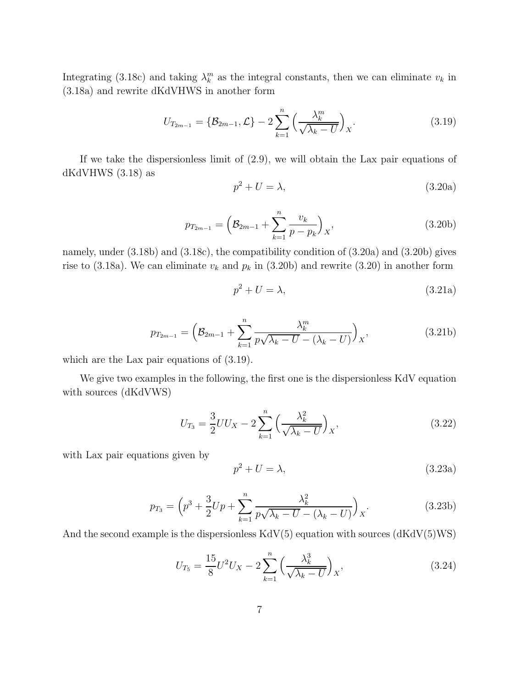Integrating (3.18c) and taking  $\lambda_k^m$  as the integral constants, then we can eliminate  $v_k$  in (3.18a) and rewrite dKdVHWS in another form

$$
U_{T_{2m-1}} = \{ \mathcal{B}_{2m-1}, \mathcal{L} \} - 2 \sum_{k=1}^{n} \left( \frac{\lambda_k^m}{\sqrt{\lambda_k - U}} \right)_X.
$$
 (3.19)

If we take the dispersionless limit of (2.9), we will obtain the Lax pair equations of dKdVHWS (3.18) as

$$
p^2 + U = \lambda,\tag{3.20a}
$$

$$
p_{T_{2m-1}} = \left(\mathcal{B}_{2m-1} + \sum_{k=1}^{n} \frac{v_k}{p - p_k}\right)_X,
$$
\n(3.20b)

namely, under (3.18b) and (3.18c), the compatibility condition of (3.20a) and (3.20b) gives rise to (3.18a). We can eliminate  $v_k$  and  $p_k$  in (3.20b) and rewrite (3.20) in another form

$$
p^2 + U = \lambda,\tag{3.21a}
$$

$$
p_{T_{2m-1}} = \left(\mathcal{B}_{2m-1} + \sum_{k=1}^{n} \frac{\lambda_k^m}{p\sqrt{\lambda_k - U} - (\lambda_k - U)}\right)_X,
$$
\n(3.21b)

which are the Lax pair equations of  $(3.19)$ .

We give two examples in the following, the first one is the dispersionless KdV equation with sources (dKdVWS)

$$
U_{T_3} = \frac{3}{2} U U_X - 2 \sum_{k=1}^n \left( \frac{\lambda_k^2}{\sqrt{\lambda_k - U}} \right)_X,
$$
\n(3.22)

with Lax pair equations given by

$$
p^2 + U = \lambda,\tag{3.23a}
$$

$$
p_{T_3} = \left(p^3 + \frac{3}{2}Up + \sum_{k=1}^n \frac{\lambda_k^2}{p\sqrt{\lambda_k - U} - (\lambda_k - U)}\right)_X.
$$
 (3.23b)

And the second example is the dispersionless  $KdV(5)$  equation with sources  $(dKdV(5)WS)$ 

$$
U_{T_5} = \frac{15}{8} U^2 U_X - 2 \sum_{k=1}^n \left( \frac{\lambda_k^3}{\sqrt{\lambda_k - U}} \right)_X, \tag{3.24}
$$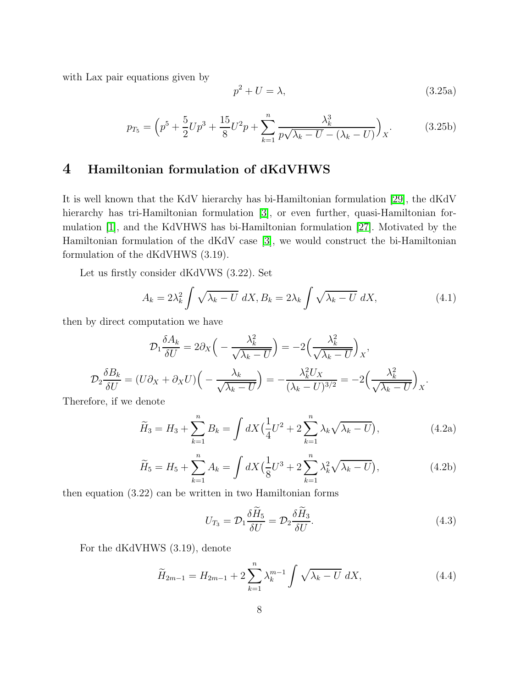with Lax pair equations given by

$$
p^2 + U = \lambda,\tag{3.25a}
$$

$$
p_{T_5} = \left(p^5 + \frac{5}{2}Up^3 + \frac{15}{8}U^2p + \sum_{k=1}^n \frac{\lambda_k^3}{p\sqrt{\lambda_k - U} - (\lambda_k - U)}\right)_X.
$$
 (3.25b)

### 4 Hamiltonian formulation of dKdVHWS

It is well known that the KdV hierarchy has bi-Hamiltonian formulation [\[29\]](#page-14-21), the dKdV hierarchy has tri-Hamiltonian formulation [\[3\]](#page-13-2), or even further, quasi-Hamiltonian formulation [\[1\]](#page-13-0), and the KdVHWS has bi-Hamiltonian formulation [\[27\]](#page-14-20). Motivated by the Hamiltonian formulation of the dKdV case [\[3\]](#page-13-2), we would construct the bi-Hamiltonian formulation of the dKdVHWS (3.19).

Let us firstly consider dKdVWS (3.22). Set

$$
A_k = 2\lambda_k^2 \int \sqrt{\lambda_k - U} \, dX, B_k = 2\lambda_k \int \sqrt{\lambda_k - U} \, dX,\tag{4.1}
$$

then by direct computation we have

$$
\mathcal{D}_1 \frac{\delta A_k}{\delta U} = 2\partial_X \left( -\frac{\lambda_k^2}{\sqrt{\lambda_k - U}} \right) = -2 \left( \frac{\lambda_k^2}{\sqrt{\lambda_k - U}} \right)_X,
$$
  

$$
\mathcal{D}_2 \frac{\delta B_k}{\delta U} = (U\partial_X + \partial_X U) \left( -\frac{\lambda_k}{\sqrt{\lambda_k - U}} \right) = -\frac{\lambda_k^2 U_X}{(\lambda_k - U)^{3/2}} = -2 \left( \frac{\lambda_k^2}{\sqrt{\lambda_k - U}} \right)_X.
$$

Therefore, if we denote

$$
\widetilde{H}_3 = H_3 + \sum_{k=1}^n B_k = \int dX \left(\frac{1}{4}U^2 + 2\sum_{k=1}^n \lambda_k \sqrt{\lambda_k - U}\right),\tag{4.2a}
$$

$$
\widetilde{H}_5 = H_5 + \sum_{k=1}^n A_k = \int dX \left(\frac{1}{8}U^3 + 2\sum_{k=1}^n \lambda_k^2 \sqrt{\lambda_k - U}\right),\tag{4.2b}
$$

then equation (3.22) can be written in two Hamiltonian forms

$$
U_{T_3} = \mathcal{D}_1 \frac{\delta \bar{H}_5}{\delta U} = \mathcal{D}_2 \frac{\delta \bar{H}_3}{\delta U}.
$$
\n(4.3)

For the dKdVHWS (3.19), denote

$$
\widetilde{H}_{2m-1} = H_{2m-1} + 2\sum_{k=1}^{n} \lambda_k^{m-1} \int \sqrt{\lambda_k - U} \, dX,\tag{4.4}
$$

 $\sim$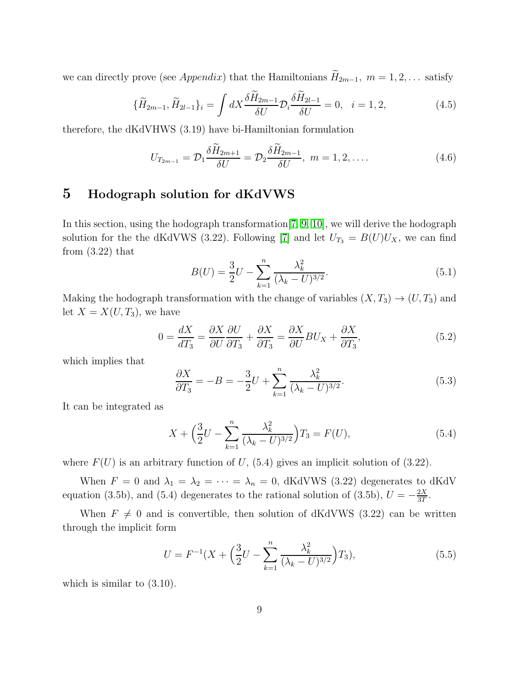we can directly prove (see *Appendix*) that the Hamiltonians  $\widetilde{H}_{2m-1}$ ,  $m = 1, 2, \ldots$  satisfy

$$
\{\widetilde{H}_{2m-1}, \widetilde{H}_{2l-1}\}_i = \int dX \frac{\delta \widetilde{H}_{2m-1}}{\delta U} \mathcal{D}_i \frac{\delta \widetilde{H}_{2l-1}}{\delta U} = 0, \quad i = 1, 2,
$$
\n(4.5)

therefore, the dKdVHWS (3.19) have bi-Hamiltonian formulation

$$
U_{T_{2m-1}} = \mathcal{D}_1 \frac{\delta \bar{H}_{2m+1}}{\delta U} = \mathcal{D}_2 \frac{\delta \bar{H}_{2m-1}}{\delta U}, \ m = 1, 2, \dots
$$
 (4.6)

### 5 Hodograph solution for dKdVWS

In this section, using the hodograph transformation[\[7,](#page-13-6) [9,](#page-14-1) [10\]](#page-14-2), we will derive the hodograph solution for the the dKdVWS (3.22). Following [\[7\]](#page-13-6) and let  $U_{T_3} = B(U)U_X$ , we can find from  $(3.22)$  that

$$
B(U) = \frac{3}{2}U - \sum_{k=1}^{n} \frac{\lambda_k^2}{(\lambda_k - U)^{3/2}}.
$$
\n(5.1)

Making the hodograph transformation with the change of variables  $(X, T_3) \rightarrow (U, T_3)$  and let  $X = X(U, T_3)$ , we have

$$
0 = \frac{dX}{dT_3} = \frac{\partial X}{\partial U} \frac{\partial U}{\partial T_3} + \frac{\partial X}{\partial T_3} = \frac{\partial X}{\partial U} B U_X + \frac{\partial X}{\partial T_3},\tag{5.2}
$$

which implies that

$$
\frac{\partial X}{\partial T_3} = -B = -\frac{3}{2}U + \sum_{k=1}^n \frac{\lambda_k^2}{(\lambda_k - U)^{3/2}}.\tag{5.3}
$$

It can be integrated as

$$
X + \left(\frac{3}{2}U - \sum_{k=1}^{n} \frac{\lambda_k^2}{(\lambda_k - U)^{3/2}}\right)T_3 = F(U),\tag{5.4}
$$

where  $F(U)$  is an arbitrary function of U, (5.4) gives an implicit solution of (3.22).

When  $F = 0$  and  $\lambda_1 = \lambda_2 = \cdots = \lambda_n = 0$ , dKdVWS (3.22) degenerates to dKdV equation (3.5b), and (5.4) degenerates to the rational solution of (3.5b),  $U = -\frac{2X}{3T}$  $\frac{2X}{3T}$ .

When  $F \neq 0$  and is convertible, then solution of dKdVWS (3.22) can be written through the implicit form

$$
U = F^{-1}(X + \left(\frac{3}{2}U - \sum_{k=1}^{n} \frac{\lambda_k^2}{(\lambda_k - U)^{3/2}}\right)T_3),\tag{5.5}
$$

which is similar to  $(3.10)$ .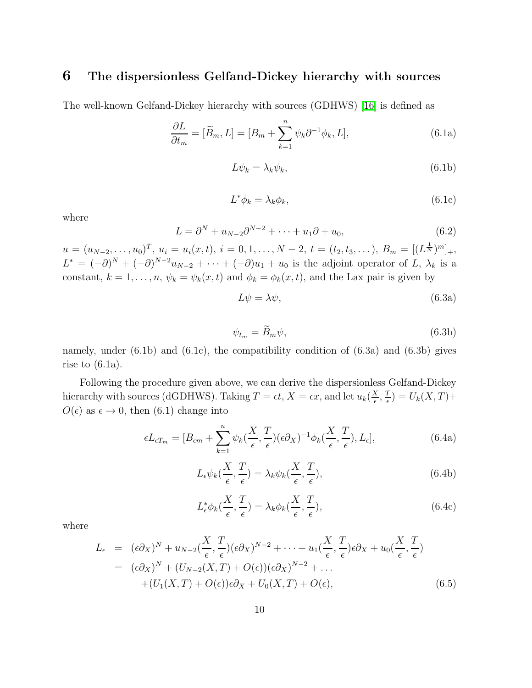#### 6 The dispersionless Gelfand-Dickey hierarchy with sources

The well-known Gelfand-Dickey hierarchy with sources (GDHWS) [\[16\]](#page-14-12) is defined as

$$
\frac{\partial L}{\partial t_m} = [\widetilde{B}_m, L] = [B_m + \sum_{k=1}^n \psi_k \partial^{-1} \phi_k, L],\tag{6.1a}
$$

$$
L\psi_k = \lambda_k \psi_k,\tag{6.1b}
$$

$$
L^*\phi_k = \lambda_k \phi_k,\tag{6.1c}
$$

where

$$
L = \partial^N + u_{N-2}\partial^{N-2} + \dots + u_1\partial + u_0, \tag{6.2}
$$

 $u = (u_{N-2},...,u_0)^T, u_i = u_i(x,t), i = 0,1,...,N-2, t = (t_2,t_3,...), B_m = [(L^{\frac{1}{N}})^m]_+,$  $L^* = (-\partial)^N + (-\partial)^{N-2}u_{N-2} + \cdots + (-\partial)u_1 + u_0$  is the adjoint operator of L,  $\lambda_k$  is a constant,  $k = 1, ..., n$ ,  $\psi_k = \psi_k(x, t)$  and  $\phi_k = \phi_k(x, t)$ , and the Lax pair is given by

$$
L\psi = \lambda\psi,\tag{6.3a}
$$

$$
\psi_{t_m} = \widetilde{B}_m \psi,\tag{6.3b}
$$

namely, under  $(6.1b)$  and  $(6.1c)$ , the compatibility condition of  $(6.3a)$  and  $(6.3b)$  gives rise to  $(6.1a)$ .

Following the procedure given above, we can derive the dispersionless Gelfand-Dickey hierarchy with sources (dGDHWS). Taking  $T = \epsilon t$ ,  $X = \epsilon x$ , and let  $u_k(\frac{X}{\epsilon})$  $\frac{X}{\epsilon}, \frac{T}{\epsilon}$  $\frac{T}{\epsilon}$ ) =  $U_k(X,T)+$  $O(\epsilon)$  as  $\epsilon \to 0$ , then (6.1) change into

$$
\epsilon L_{\epsilon T_m} = [B_{\epsilon m} + \sum_{k=1}^n \psi_k(\frac{X}{\epsilon}, \frac{T}{\epsilon})(\epsilon \partial_X)^{-1} \phi_k(\frac{X}{\epsilon}, \frac{T}{\epsilon}), L_{\epsilon}], \tag{6.4a}
$$

$$
L_{\epsilon}\psi_k(\frac{X}{\epsilon},\frac{T}{\epsilon}) = \lambda_k\psi_k(\frac{X}{\epsilon},\frac{T}{\epsilon}),\tag{6.4b}
$$

$$
L_{\epsilon}^* \phi_k(\frac{X}{\epsilon}, \frac{T}{\epsilon}) = \lambda_k \phi_k(\frac{X}{\epsilon}, \frac{T}{\epsilon}), \qquad (6.4c)
$$

where

$$
L_{\epsilon} = (\epsilon \partial_X)^N + u_{N-2}(\frac{X}{\epsilon}, \frac{T}{\epsilon})(\epsilon \partial_X)^{N-2} + \cdots + u_1(\frac{X}{\epsilon}, \frac{T}{\epsilon})\epsilon \partial_X + u_0(\frac{X}{\epsilon}, \frac{T}{\epsilon})
$$
  
=  $(\epsilon \partial_X)^N + (U_{N-2}(X, T) + O(\epsilon))(\epsilon \partial_X)^{N-2} + \cdots$   
+  $(U_1(X, T) + O(\epsilon))\epsilon \partial_X + U_0(X, T) + O(\epsilon),$  (6.5)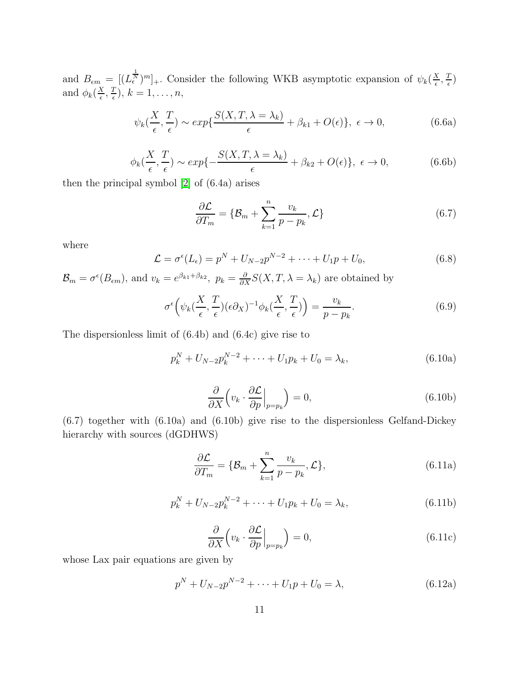and  $B_{\epsilon m} = [(L_{\epsilon}^{\frac{1}{N}})^m]_+$ . Consider the following WKB asymptotic expansion of  $\psi_k(\frac{X}{\epsilon})$  $\frac{X}{\epsilon}, \frac{T}{\epsilon}$  $(\frac{r}{\epsilon})$ and  $\phi_k(\frac{X}{\epsilon})$  $\frac{X}{\epsilon}, \frac{T}{\epsilon}$  $\frac{T}{\epsilon}$ ),  $k = 1, \ldots, n$ ,

$$
\psi_k(\frac{X}{\epsilon}, \frac{T}{\epsilon}) \sim exp\{\frac{S(X, T, \lambda = \lambda_k)}{\epsilon} + \beta_{k1} + O(\epsilon)\}, \ \epsilon \to 0,
$$
\n(6.6a)

$$
\phi_k(\frac{X}{\epsilon}, \frac{T}{\epsilon}) \sim exp\{-\frac{S(X, T, \lambda = \lambda_k)}{\epsilon} + \beta_{k2} + O(\epsilon)\}, \ \epsilon \to 0,
$$
\n(6.6b)

then the principal symbol [\[2\]](#page-13-1) of (6.4a) arises

$$
\frac{\partial \mathcal{L}}{\partial T_m} = \{ \mathcal{B}_m + \sum_{k=1}^n \frac{v_k}{p - p_k}, \mathcal{L} \}
$$
(6.7)

where

$$
\mathcal{L} = \sigma^{\epsilon}(L_{\epsilon}) = p^{N} + U_{N-2}p^{N-2} + \dots + U_{1}p + U_{0},
$$
\n(6.8)

 $\mathcal{B}_m = \sigma^{\epsilon}(B_{\epsilon m})$ , and  $v_k = e^{\beta_{k1} + \beta_{k2}}$ ,  $p_k = \frac{\partial}{\partial X} S(X, T, \lambda = \lambda_k)$  are obtained by

$$
\sigma^{\epsilon}\left(\psi_{k}(\frac{X}{\epsilon},\frac{T}{\epsilon})(\epsilon\partial_{X})^{-1}\phi_{k}(\frac{X}{\epsilon},\frac{T}{\epsilon})\right) = \frac{v_{k}}{p-p_{k}}.\tag{6.9}
$$

The dispersionless limit of (6.4b) and (6.4c) give rise to

$$
p_k^N + U_{N-2}p_k^{N-2} + \dots + U_1p_k + U_0 = \lambda_k, \tag{6.10a}
$$

$$
\frac{\partial}{\partial X} \left( v_k \cdot \frac{\partial \mathcal{L}}{\partial p} \Big|_{p=p_k} \right) = 0, \tag{6.10b}
$$

(6.7) together with (6.10a) and (6.10b) give rise to the dispersionless Gelfand-Dickey hierarchy with sources (dGDHWS)

$$
\frac{\partial \mathcal{L}}{\partial T_m} = \{ \mathcal{B}_m + \sum_{k=1}^n \frac{v_k}{p - p_k}, \mathcal{L} \},\tag{6.11a}
$$

$$
p_k^N + U_{N-2}p_k^{N-2} + \dots + U_1p_k + U_0 = \lambda_k, \tag{6.11b}
$$

$$
\frac{\partial}{\partial X} \left( v_k \cdot \frac{\partial \mathcal{L}}{\partial p} \Big|_{p=p_k} \right) = 0, \tag{6.11c}
$$

whose Lax pair equations are given by

$$
p^{N} + U_{N-2}p^{N-2} + \dots + U_{1}p + U_{0} = \lambda,
$$
\n(6.12a)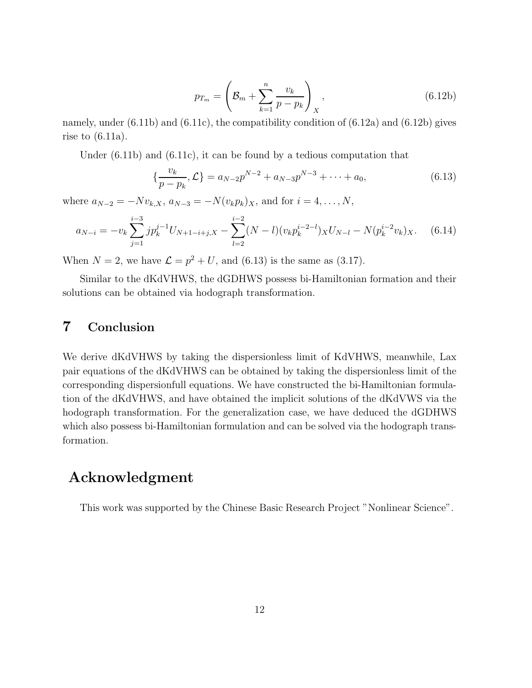$$
p_{T_m} = \left(\mathcal{B}_m + \sum_{k=1}^n \frac{v_k}{p - p_k}\right)_X, \tag{6.12b}
$$

namely, under  $(6.11b)$  and  $(6.11c)$ , the compatibility condition of  $(6.12a)$  and  $(6.12b)$  gives rise to  $(6.11a)$ .

Under (6.11b) and (6.11c), it can be found by a tedious computation that

$$
\{\frac{v_k}{p-p_k}, \mathcal{L}\} = a_{N-2}p^{N-2} + a_{N-3}p^{N-3} + \dots + a_0,\tag{6.13}
$$

where  $a_{N-2} = -Nv_{k,X}, a_{N-3} = -N(v_kp_k)_X$ , and for  $i = 4, ..., N$ ,

$$
a_{N-i} = -v_k \sum_{j=1}^{i-3} j p_k^{j-1} U_{N+1-i+j,X} - \sum_{l=2}^{i-2} (N-l)(v_k p_k^{i-2-l})_X U_{N-l} - N(p_k^{i-2} v_k)_X. \tag{6.14}
$$

When  $N = 2$ , we have  $\mathcal{L} = p^2 + U$ , and (6.13) is the same as (3.17).

Similar to the dKdVHWS, the dGDHWS possess bi-Hamiltonian formation and their solutions can be obtained via hodograph transformation.

### 7 Conclusion

We derive dKdVHWS by taking the dispersionless limit of KdVHWS, meanwhile, Lax pair equations of the dKdVHWS can be obtained by taking the dispersionless limit of the corresponding dispersionfull equations. We have constructed the bi-Hamiltonian formulation of the dKdVHWS, and have obtained the implicit solutions of the dKdVWS via the hodograph transformation. For the generalization case, we have deduced the dGDHWS which also possess bi-Hamiltonian formulation and can be solved via the hodograph transformation.

### Acknowledgment

This work was supported by the Chinese Basic Research Project "Nonlinear Science".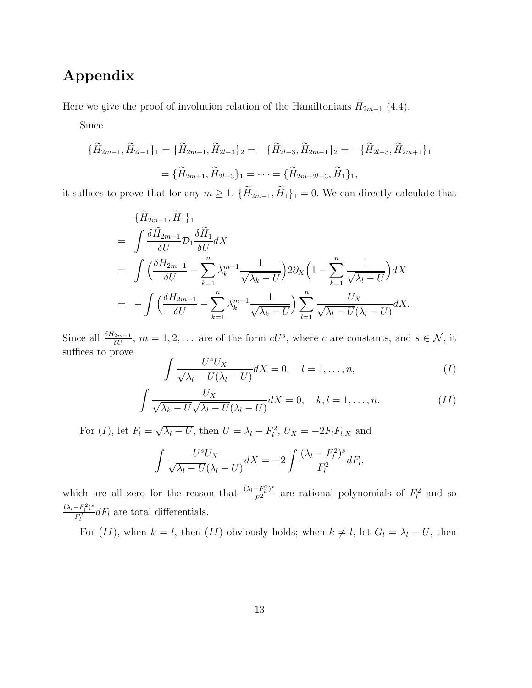## Appendix

Here we give the proof of involution relation of the Hamiltonians  $\widetilde{H}_{2m-1}$  (4.4).

Since

$$
\begin{aligned} \{\widetilde{H}_{2m-1}, \widetilde{H}_{2l-1}\}_1 &= \{\widetilde{H}_{2m-1}, \widetilde{H}_{2l-3}\}_2 = -\{\widetilde{H}_{2l-3}, \widetilde{H}_{2m-1}\}_2 = -\{\widetilde{H}_{2l-3}, \widetilde{H}_{2m+1}\}_1 \\ &= \{\widetilde{H}_{2m+1}, \widetilde{H}_{2l-3}\}_1 = \dots = \{\widetilde{H}_{2m+2l-3}, \widetilde{H}_1\}_1, \end{aligned}
$$

it suffices to prove that for any  $m \geq 1$ ,  $\{\widetilde{H}_{2m-1}, \widetilde{H}_1\}_1 = 0$ . We can directly calculate that

$$
\begin{split}\n&\{\widetilde{H}_{2m-1}, \widetilde{H}_1\}_1 \\
&= \int \frac{\delta \widetilde{H}_{2m-1}}{\delta U} \mathcal{D}_1 \frac{\delta \widetilde{H}_1}{\delta U} dX \\
&= \int \left(\frac{\delta H_{2m-1}}{\delta U} - \sum_{k=1}^n \lambda_k^{m-1} \frac{1}{\sqrt{\lambda_k - U}}\right) 2 \partial_X \left(1 - \sum_{k=1}^n \frac{1}{\sqrt{\lambda_l - U}}\right) dX \\
&= - \int \left(\frac{\delta H_{2m-1}}{\delta U} - \sum_{k=1}^n \lambda_k^{m-1} \frac{1}{\sqrt{\lambda_k - U}}\right) \sum_{l=1}^n \frac{U_X}{\sqrt{\lambda_l - U} (\lambda_l - U)} dX.\n\end{split}
$$

Since all  $\frac{\delta H_{2m-1}}{\delta U}$ ,  $m = 1, 2, \ldots$  are of the form  $cU^s$ , where c are constants, and  $s \in \mathcal{N}$ , it suffices to prove

$$
\int \frac{U^s U_X}{\sqrt{\lambda_l - U}(\lambda_l - U)} dX = 0, \quad l = 1, \dots, n,
$$
\n(1)

$$
\int \frac{U_X}{\sqrt{\lambda_k - U} \sqrt{\lambda_l - U} (\lambda_l - U)} dX = 0, \quad k, l = 1, \dots, n. \tag{II}
$$

For  $(I)$ , let  $F_l = \sqrt{\lambda_l - U}$ , then  $U = \lambda_l - F_l^2$ ,  $U_X = -2F_lF_{l,X}$  and

$$
\int \frac{U^s U_X}{\sqrt{\lambda_l - U(\lambda_l - U)}} dX = -2 \int \frac{(\lambda_l - F_l^2)^s}{F_l^2} dF_l,
$$

which are all zero for the reason that  $\frac{(\lambda_l - F_l^2)^s}{F^2}$  $\frac{-F_l^2}{F_l^2}$  are rational polynomials of  $F_l^2$  and so  $(\lambda_l - F_l^2)^s$  $\frac{-F_l^{\gamma}}{F_l^2}dF_l$  are total differentials.

For  $(II)$ , when  $k = l$ , then  $(II)$  obviously holds; when  $k \neq l$ , let  $G_l = \lambda_l - U$ , then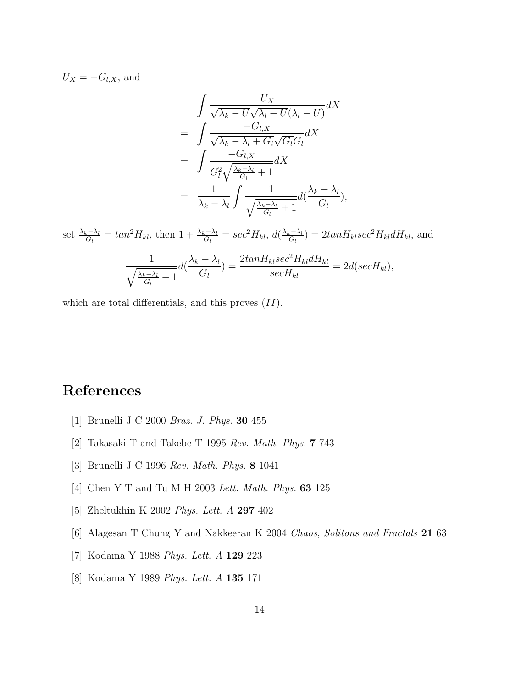$U_X = -G_{l,X}$ , and

$$
\int \frac{U_X}{\sqrt{\lambda_k - U} \sqrt{\lambda_l - U}} dX
$$
\n
$$
= \int \frac{-G_{l,X}}{\sqrt{\lambda_k - \lambda_l + G_l} \sqrt{G_l} G_l} dX
$$
\n
$$
= \int \frac{-G_{l,X}}{G_l^2 \sqrt{\frac{\lambda_k - \lambda_l}{G_l} + 1}} dX
$$
\n
$$
= \frac{1}{\lambda_k - \lambda_l} \int \frac{1}{\sqrt{\frac{\lambda_k - \lambda_l}{G_l} + 1}} d(\frac{\lambda_k - \lambda_l}{G_l}),
$$

set  $\frac{\lambda_k - \lambda_l}{G_l} = \tan^2 H_{kl}$ , then  $1 + \frac{\lambda_k - \lambda_l}{G_l} = \sec^2 H_{kl}$ ,  $d(\frac{\lambda_k - \lambda_l}{G_l})$  $\frac{d_{k}-\lambda_{l}}{G_{l}}$  = 2tan $H_{kl}$ sec<sup>2</sup> $H_{kl}$ d $H_{kl}$ , and 1  $\sqrt{\lambda_k-\lambda_l}$  $\frac{c-\lambda_l}{G_l}+1$  $d\left(\frac{\lambda_k-\lambda_l}{\alpha}\right)$  $G_l$  $) = \frac{2tanH_{kl}sec^2H_{kl}dH_{kl}}{H}$  $secH_{kl}$  $= 2d(secH_{kl}),$ 

which are total differentials, and this proves  $(II)$ .

# <span id="page-13-0"></span>References

- <span id="page-13-1"></span>[1] Brunelli J C 2000 *Braz. J. Phys.* 30 455
- <span id="page-13-2"></span>[2] Takasaki T and Takebe T 1995 *Rev. Math. Phys.* 7 743
- <span id="page-13-3"></span>[3] Brunelli J C 1996 *Rev. Math. Phys.* 8 1041
- <span id="page-13-4"></span>[4] Chen Y T and Tu M H 2003 *Lett. Math. Phys.* 63 125
- <span id="page-13-5"></span>[5] Zheltukhin K 2002 *Phys. Lett. A* 297 402
- <span id="page-13-6"></span>[6] Alagesan T Chung Y and Nakkeeran K 2004 *Chaos, Solitons and Fractals* 21 63
- <span id="page-13-7"></span>[7] Kodama Y 1988 *Phys. Lett. A* 129 223
- [8] Kodama Y 1989 *Phys. Lett. A* 135 171